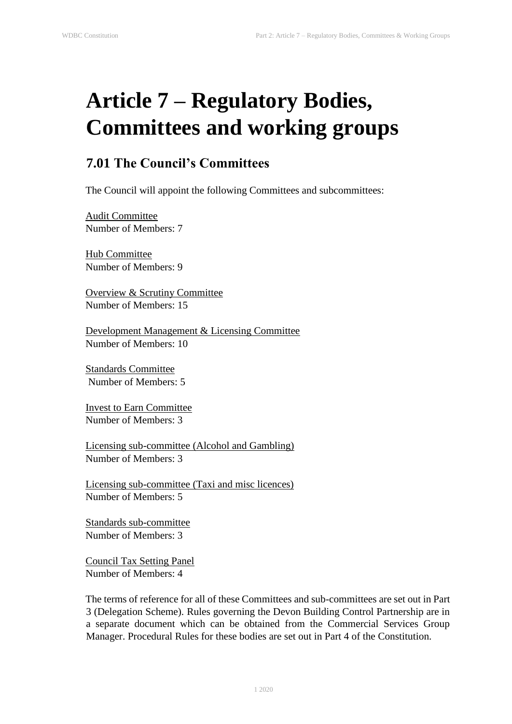## **Article 7 – Regulatory Bodies, Committees and working groups**

## **7.01 The Council's Committees**

The Council will appoint the following Committees and subcommittees:

Audit Committee Number of Members: 7

Hub Committee Number of Members: 9

Overview & Scrutiny Committee Number of Members: 15

Development Management & Licensing Committee Number of Members: 10

Standards Committee Number of Members: 5

Invest to Earn Committee Number of Members: 3

Licensing sub-committee (Alcohol and Gambling) Number of Members: 3

Licensing sub-committee (Taxi and misc licences) Number of Members: 5

Standards sub-committee Number of Members: 3

Council Tax Setting Panel Number of Members: 4

The terms of reference for all of these Committees and sub-committees are set out in Part 3 (Delegation Scheme). Rules governing the Devon Building Control Partnership are in a separate document which can be obtained from the Commercial Services Group Manager. Procedural Rules for these bodies are set out in Part 4 of the Constitution.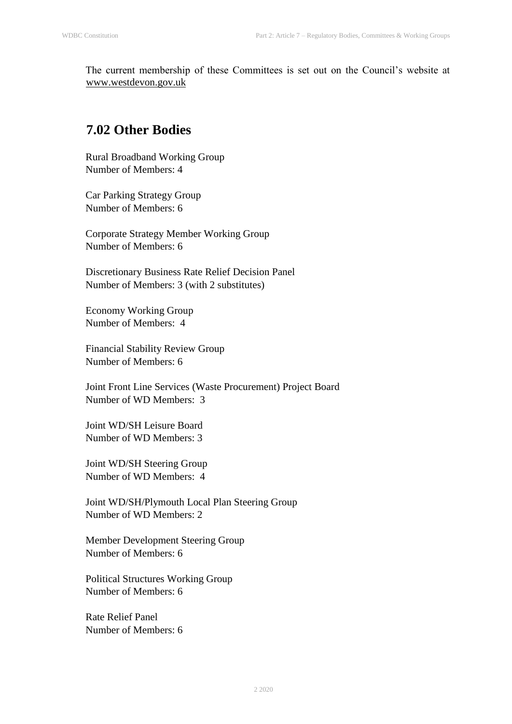The current membership of these Committees is set out on the Council's website at www.westdevon.gov.uk

## **7.02 Other Bodies**

Rural Broadband Working Group Number of Members: 4

Car Parking Strategy Group Number of Members: 6

Corporate Strategy Member Working Group Number of Members: 6

Discretionary Business Rate Relief Decision Panel Number of Members: 3 (with 2 substitutes)

Economy Working Group Number of Members: 4

Financial Stability Review Group Number of Members: 6

Joint Front Line Services (Waste Procurement) Project Board Number of WD Members: 3

Joint WD/SH Leisure Board Number of WD Members: 3

Joint WD/SH Steering Group Number of WD Members: 4

Joint WD/SH/Plymouth Local Plan Steering Group Number of WD Members: 2

Member Development Steering Group Number of Members: 6

Political Structures Working Group Number of Members: 6

Rate Relief Panel Number of Members: 6